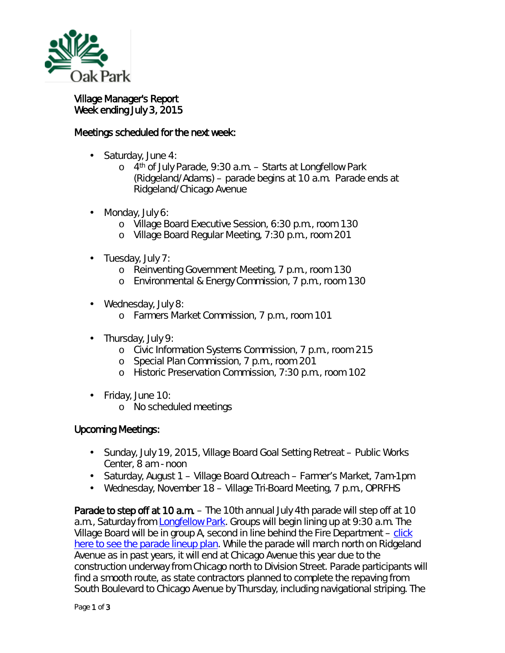

Village Manager's Report Week ending July 3, 2015

## Meetings scheduled for the next week:

- Saturday, June 4:
	- o 4th of July Parade, 9:30 a.m. Starts at Longfellow Park (Ridgeland/Adams) – parade begins at 10 a.m. Parade ends at Ridgeland/Chicago Avenue
- Monday, July 6: ò,
	- o Village Board Executive Session, 6:30 p.m., room 130
	- o Village Board Regular Meeting, 7:30 p.m., room 201
- $\cdot$  Tuesday, July 7:
	- o Reinventing Government Meeting, 7 p.m., room 130
	- o Environmental & Energy Commission, 7 p.m., room 130
- Wednesday, July 8:
	- o Farmers Market Commission, 7 p.m., room 101
- Thursday, July 9:  $\mathbf{r}^{\prime}$ 
	- o Civic Information Systems Commission, 7 p.m., room 215
	- o Special Plan Commission, 7 p.m., room 201
	- o Historic Preservation Commission, 7:30 p.m., room 102
- Friday, June 10:
	- o No scheduled meetings

## Upcoming Meetings:

- Sunday, July 19, 2015, Village Board Goal Setting Retreat Public Works Center, 8 am - noon
- Saturday, August 1 Village Board Outreach Farmer's Market, 7am-1pm
- Wednesday, November 18 Village Tri-Board Meeting, 7 p.m., OPRFHS  $\mathbf{r}$

Parade to step off at 10 a.m. – The 10th annual July 4th parade will step off at 10 a.m., Saturday from [Longfellow Park.](http://r20.rs6.net/tn.jsp?e=001cwpa7ZGQOVNywv3Z_TQkwlmvCqsBfPnKKo3-daR74hVc7AP9TAWlrox2A9WJgamQ1Jtrj6NHe0ryGGX4wnRnwlrA3QfDADx3NqTb1Vvxu10TrcV2qKHGqR-gf1ahG2Btx4gUAYSAmLzTvaw_r4TK-A==) Groups will begin lining up at 9:30 a.m. The Village Board will be in group A, second in line behind the Fire Department  $-\frac{click}{2}$ [here to see the parade lineup plan.](http://www.oak-park.us/sites/default/files/456678891/2015-07-04-parade-lineup.pdf) While the parade will march north on Ridgeland Avenue as in past years, it will end at Chicago Avenue this year due to the construction underway from Chicago north to Division Street. Parade participants will find a smooth route, as state contractors planned to complete the repaving from South Boulevard to Chicago Avenue by Thursday, including navigational striping. The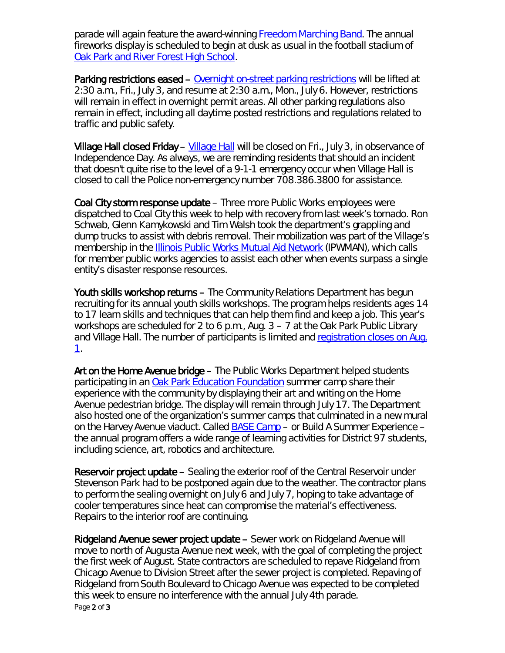parade will again feature the award-winning [Freedom Marching Band.](http://r20.rs6.net/tn.jsp?e=001cwpa7ZGQOVNywv3Z_TQkwlmvCqsBfPnKKo3-daR74hVc7AP9TAWlrox2A9WJgamQ1Jtrj6NHe0pfxdjm9meDbkzES0LhY0MbAonP07pqVvILR9zO309AG5B4h7TwZJuiPA3J03NzrHex_4ay1jocgj6LZO8Xgt9E) The annual fireworks display is scheduled to begin at dusk as usual in the football stadium of **[Oak Park and River Forest High School.](http://r20.rs6.net/tn.jsp?e=001cwpa7ZGQOVNywv3Z_TQkwlmvCqsBfPnKKo3-daR74hVc7AP9TAWlrox2A9WJgamQ1Jtrj6NHe0rkdEeY2GFlc1GgqWQbKxyl3x1cvTUFb_7TbbgB9VgFVk7mPTQNMld3AR_Dsx3X8YNWLKu3_rGEDFcvEILffFh_6XiCdo_g0Fg=)** 

Parking restrictions eased – [Overnight on-street parking restrictions](http://r20.rs6.net/tn.jsp?e=001cwpa7ZGQOVNywv3Z_TQkwlmvCqsBfPnKKo3-daR74hVc7AP9TAWlrox2A9WJgamQ1Jtrj6NHe0qcHRJqGQEOIm2Yhb5h5bNBZlrcEdZm_hKqyhpqENztBjX7ZDoUd8YRNn_iYCsEhjQzNNET30lAT4wzATnuDLwvI_JsdOnR_MDrkthQo6fhkOlI7C47b9Jc) will be lifted at 2:30 a.m., Fri., July 3, and resume at 2:30 a.m., Mon., July 6. However, restrictions will remain in effect in overnight permit areas. All other parking regulations also remain in effect, including all daytime posted restrictions and regulations related to traffic and public safety.

Village Hall closed Friday – [Village Hall](http://r20.rs6.net/tn.jsp?e=001cwpa7ZGQOVNywv3Z_TQkwlmvCqsBfPnKKo3-daR74hVc7AP9TAWlrox2A9WJgamQ1Jtrj6NHe0qcHRJqGQEOIm2Yhb5h5bNB5Gos07JstbdKd-5HW2uyOR-cD13AQ_9IQbF3Lyl5Q8QZo6voSOWYOPzj2gZy6_KoHHUvcZlHF9M=) will be closed on Fri., July 3, in observance of Independence Day. As always, we are reminding residents that should an incident that doesn't quite rise to the level of a 9-1-1 emergency occur when Village Hall is closed to call the Police non-emergency number 708.386.3800 for assistance.

Coal City storm response update – Three more Public Works employees were dispatched to Coal City this week to help with recovery from last week's tornado. Ron Schwab, Glenn Kamykowski and Tim Walsh took the department's grappling and dump trucks to assist with debris removal. Their mobilization was part of the Village's membership in the [Illinois Public Works Mutual Aid Network](https://www.ipwman.org/) (IPWMAN), which calls for member public works agencies to assist each other when events surpass a single entity's disaster response resources.

Youth skills workshop returns - The Community Relations Department has begun recruiting for its annual youth skills workshops. The program helps residents ages 14 to 17 learn skills and techniques that can help them find and keep a job. This year's workshops are scheduled for 2 to 6 p.m., Aug. 3 – 7 at the Oak Park Public Library and Village Hall. The number of participants is limited and registration closes on Aug. [1.](http://events.constantcontact.com/register/event?llr=chbuz8jab&oeidk=a07eb5in1ns92df3f55)

Art on the Home Avenue bridge – The Public Works Department helped students participating in an [Oak Park Education Foundation](http://www.opef.org/) summer camp share their experience with the community by displaying their art and writing on the Home Avenue pedestrian bridge. The display will remain through July 17. The Department also hosted one of the organization's summer camps that culminated in a new mural on the Harvey Avenue viaduct. Called [BASE Camp](http://www.opef.org/basecamp/) – or Build A Summer Experience – the annual program offers a wide range of learning activities for District 97 students, including science, art, robotics and architecture.

Reservoir project update – Sealing the exterior roof of the Central Reservoir under Stevenson Park had to be postponed again due to the weather. The contractor plans to perform the sealing overnight on July 6 and July 7, hoping to take advantage of cooler temperatures since heat can compromise the material's effectiveness. Repairs to the interior roof are continuing.

Page 2 of 3 Ridgeland Avenue sewer project update – Sewer work on Ridgeland Avenue will move to north of Augusta Avenue next week, with the goal of completing the project the first week of August. State contractors are scheduled to repave Ridgeland from Chicago Avenue to Division Street after the sewer project is completed. Repaving of Ridgeland from South Boulevard to Chicago Avenue was expected to be completed this week to ensure no interference with the annual July 4th parade.